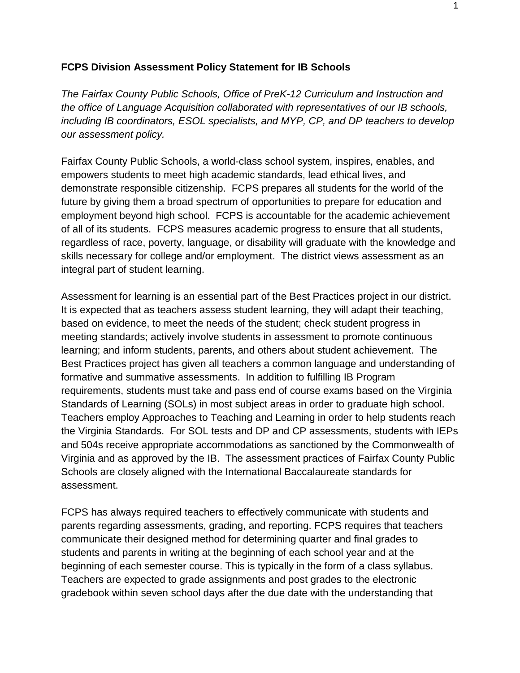## **FCPS Division Assessment Policy Statement for IB Schools**

*The Fairfax County Public Schools, Office of PreK-12 Curriculum and Instruction and the office of Language Acquisition collaborated with representatives of our IB schools, including IB coordinators, ESOL specialists, and MYP, CP, and DP teachers to develop our assessment policy.*

Fairfax County Public Schools, a world-class school system, inspires, enables, and empowers students to meet high academic standards, lead ethical lives, and demonstrate responsible citizenship. FCPS prepares all students for the world of the future by giving them a broad spectrum of opportunities to prepare for education and employment beyond high school. FCPS is accountable for the academic achievement of all of its students. FCPS measures academic progress to ensure that all students, regardless of race, poverty, language, or disability will graduate with the knowledge and skills necessary for college and/or employment. The district views assessment as an integral part of student learning.

Assessment for learning is an essential part of the Best Practices project in our district. It is expected that as teachers assess student learning, they will adapt their teaching, based on evidence, to meet the needs of the student; check student progress in meeting standards; actively involve students in assessment to promote continuous learning; and inform students, parents, and others about student achievement. The Best Practices project has given all teachers a common language and understanding of formative and summative assessments. In addition to fulfilling IB Program requirements, students must take and pass end of course exams based on the Virginia Standards of Learning (SOLs) in most subject areas in order to graduate high school. Teachers employ Approaches to Teaching and Learning in order to help students reach the Virginia Standards. For SOL tests and DP and CP assessments, students with IEPs and 504s receive appropriate accommodations as sanctioned by the Commonwealth of Virginia and as approved by the IB. The assessment practices of Fairfax County Public Schools are closely aligned with the International Baccalaureate standards for assessment.

FCPS has always required teachers to effectively communicate with students and parents regarding assessments, grading, and reporting. FCPS requires that teachers communicate their designed method for determining quarter and final grades to students and parents in writing at the beginning of each school year and at the beginning of each semester course. This is typically in the form of a class syllabus. Teachers are expected to grade assignments and post grades to the electronic gradebook within seven school days after the due date with the understanding that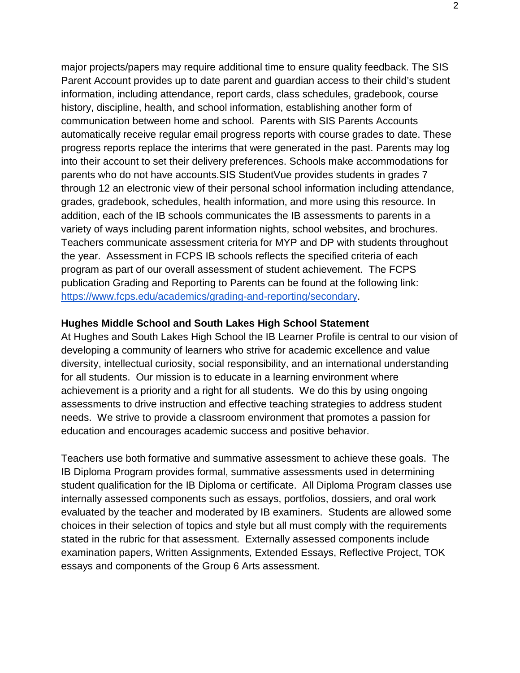major projects/papers may require additional time to ensure quality feedback. The SIS Parent Account provides up to date parent and guardian access to their child's student information, including attendance, report cards, class schedules, gradebook, course history, discipline, health, and school information, establishing another form of communication between home and school. Parents with SIS Parents Accounts automatically receive regular email progress reports with course grades to date. These progress reports replace the interims that were generated in the past. Parents may log into their account to set their delivery preferences. Schools make accommodations for parents who do not have accounts.SIS StudentVue provides students in grades 7 through 12 an electronic view of their personal school information including attendance, grades, gradebook, schedules, health information, and more using this resource. In addition, each of the IB schools communicates the IB assessments to parents in a variety of ways including parent information nights, school websites, and brochures. Teachers communicate assessment criteria for MYP and DP with students throughout the year. Assessment in FCPS IB schools reflects the specified criteria of each program as part of our overall assessment of student achievement. The FCPS publication Grading and Reporting to Parents can be found at the following link: [https://www.fcps.edu/academics/grading-and-reporting/secondary.](https://www.fcps.edu/academics/grading-and-reporting/secondary)

## **Hughes Middle School and South Lakes High School Statement**

At Hughes and South Lakes High School the IB Learner Profile is central to our vision of developing a community of learners who strive for academic excellence and value diversity, intellectual curiosity, social responsibility, and an international understanding for all students. Our mission is to educate in a learning environment where achievement is a priority and a right for all students. We do this by using ongoing assessments to drive instruction and effective teaching strategies to address student needs. We strive to provide a classroom environment that promotes a passion for education and encourages academic success and positive behavior.

Teachers use both formative and summative assessment to achieve these goals. The IB Diploma Program provides formal, summative assessments used in determining student qualification for the IB Diploma or certificate. All Diploma Program classes use internally assessed components such as essays, portfolios, dossiers, and oral work evaluated by the teacher and moderated by IB examiners. Students are allowed some choices in their selection of topics and style but all must comply with the requirements stated in the rubric for that assessment. Externally assessed components include examination papers, Written Assignments, Extended Essays, Reflective Project, TOK essays and components of the Group 6 Arts assessment.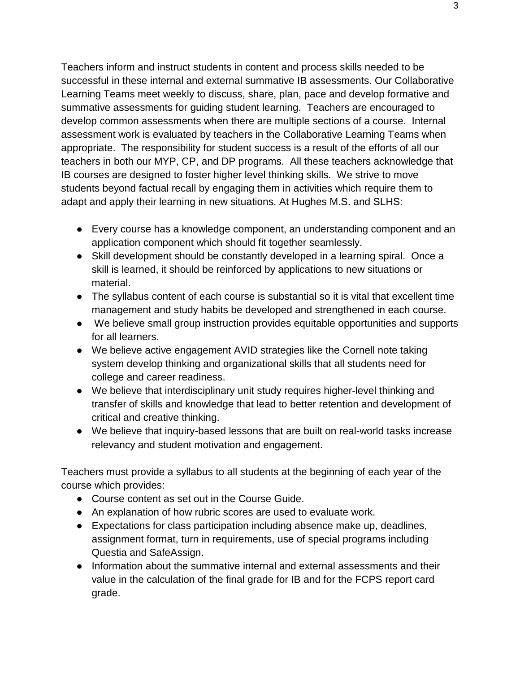Teachers inform and instruct students in content and process skills needed to be successful in these internal and external summative IB assessments. Our Collaborative Learning Teams meet weekly to discuss, share, plan, pace and develop formative and summative assessments for guiding student learning. Teachers are encouraged to develop common assessments when there are multiple sections of a course. Internal assessment work is evaluated by teachers in the Collaborative Learning Teams when appropriate. The responsibility for student success is a result of the efforts of all our teachers in both our MYP, CP, and DP programs. All these teachers acknowledge that IB courses are designed to foster higher level thinking skills. We strive to move students beyond factual recall by engaging them in activities which require them to adapt and apply their learning in new situations. At Hughes M.S. and SLHS:

- Every course has a knowledge component, an understanding component and an application component which should fit together seamlessly.
- Skill development should be constantly developed in a learning spiral. Once a skill is learned, it should be reinforced by applications to new situations or material.
- The syllabus content of each course is substantial so it is vital that excellent time management and study habits be developed and strengthened in each course.
- We believe small group instruction provides equitable opportunities and supports for all learners.
- We believe active engagement AVID strategies like the Cornell note taking system develop thinking and organizational skills that all students need for college and career readiness.
- We believe that interdisciplinary unit study requires higher-level thinking and transfer of skills and knowledge that lead to better retention and development of critical and creative thinking.
- We believe that inquiry-based lessons that are built on real-world tasks increase relevancy and student motivation and engagement.

Teachers must provide a syllabus to all students at the beginning of each year of the course which provides:

- Course content as set out in the Course Guide.
- An explanation of how rubric scores are used to evaluate work.
- Expectations for class participation including absence make up, deadlines, assignment format, turn in requirements, use of special programs including Questia and SafeAssign.
- Information about the summative internal and external assessments and their value in the calculation of the final grade for IB and for the FCPS report card grade.